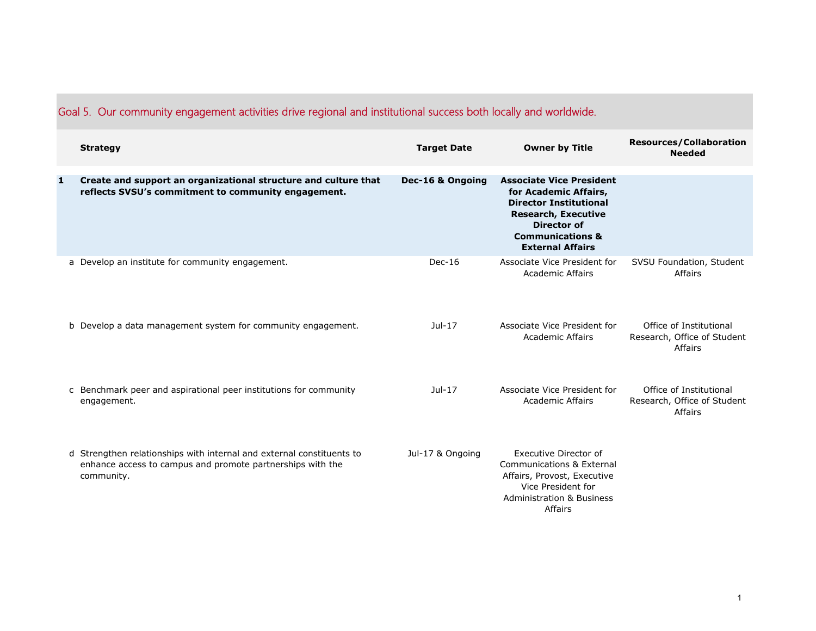|   | <b>Strategy</b>                                                                                                                                   | <b>Target Date</b> | <b>Owner by Title</b>                                                                                                                                                                            | <b>Resources/Collaboration</b><br><b>Needed</b>                   |
|---|---------------------------------------------------------------------------------------------------------------------------------------------------|--------------------|--------------------------------------------------------------------------------------------------------------------------------------------------------------------------------------------------|-------------------------------------------------------------------|
| 1 | Create and support an organizational structure and culture that<br>reflects SVSU's commitment to community engagement.                            | Dec-16 & Ongoing   | <b>Associate Vice President</b><br>for Academic Affairs,<br><b>Director Institutional</b><br><b>Research, Executive</b><br>Director of<br><b>Communications &amp;</b><br><b>External Affairs</b> |                                                                   |
|   | a Develop an institute for community engagement.                                                                                                  | $Dec-16$           | Associate Vice President for<br><b>Academic Affairs</b>                                                                                                                                          | SVSU Foundation, Student<br>Affairs                               |
|   | b Develop a data management system for community engagement.                                                                                      | $Jul-17$           | Associate Vice President for<br><b>Academic Affairs</b>                                                                                                                                          | Office of Institutional<br>Research, Office of Student<br>Affairs |
|   | c Benchmark peer and aspirational peer institutions for community<br>engagement.                                                                  | Jul-17             | Associate Vice President for<br><b>Academic Affairs</b>                                                                                                                                          | Office of Institutional<br>Research, Office of Student<br>Affairs |
|   | d Strengthen relationships with internal and external constituents to<br>enhance access to campus and promote partnerships with the<br>community. | Jul-17 & Ongoing   | Executive Director of<br><b>Communications &amp; External</b><br>Affairs, Provost, Executive<br>Vice President for<br><b>Administration &amp; Business</b><br>Affairs                            |                                                                   |

## Goal 5. Our community engagement activities drive regional and institutional success both locally and worldwide.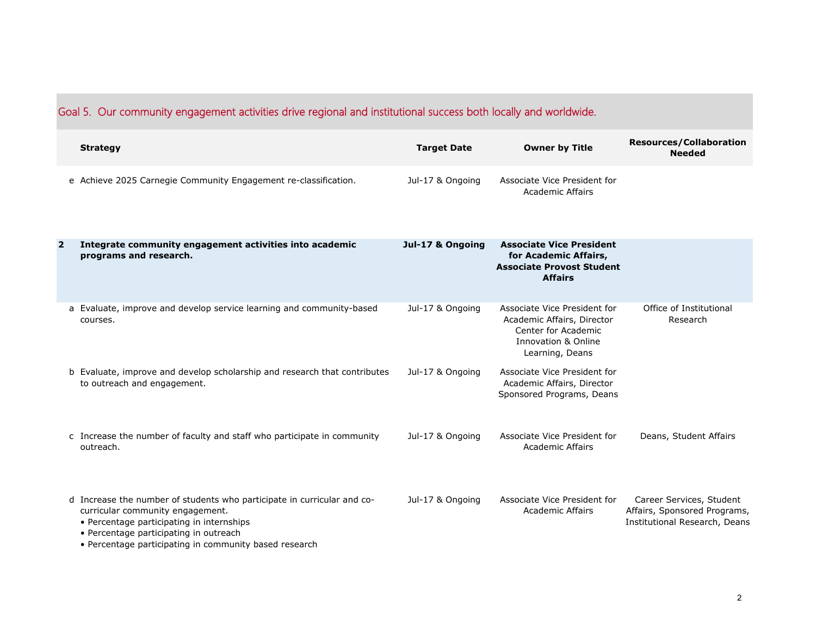| Goal 5. Our community engagement activities drive regional and institutional success both locally and worldwide. |                                                                                                                                                                                                                                                              |                    |                                                                                                                             |                                                                                           |
|------------------------------------------------------------------------------------------------------------------|--------------------------------------------------------------------------------------------------------------------------------------------------------------------------------------------------------------------------------------------------------------|--------------------|-----------------------------------------------------------------------------------------------------------------------------|-------------------------------------------------------------------------------------------|
|                                                                                                                  | <b>Strategy</b>                                                                                                                                                                                                                                              | <b>Target Date</b> | <b>Owner by Title</b>                                                                                                       | <b>Resources/Collaboration</b><br><b>Needed</b>                                           |
|                                                                                                                  | e Achieve 2025 Carnegie Community Engagement re-classification.                                                                                                                                                                                              | Jul-17 & Ongoing   | Associate Vice President for<br><b>Academic Affairs</b>                                                                     |                                                                                           |
| $\overline{2}$                                                                                                   | Integrate community engagement activities into academic<br>programs and research.                                                                                                                                                                            | Jul-17 & Ongoing   | <b>Associate Vice President</b><br>for Academic Affairs,<br><b>Associate Provost Student</b><br><b>Affairs</b>              |                                                                                           |
|                                                                                                                  | a Evaluate, improve and develop service learning and community-based<br>courses.                                                                                                                                                                             | Jul-17 & Ongoing   | Associate Vice President for<br>Academic Affairs, Director<br>Center for Academic<br>Innovation & Online<br>Learning, Deans | Office of Institutional<br>Research                                                       |
|                                                                                                                  | b Evaluate, improve and develop scholarship and research that contributes<br>to outreach and engagement.                                                                                                                                                     | Jul-17 & Ongoing   | Associate Vice President for<br>Academic Affairs, Director<br>Sponsored Programs, Deans                                     |                                                                                           |
|                                                                                                                  | c Increase the number of faculty and staff who participate in community<br>outreach.                                                                                                                                                                         | Jul-17 & Ongoing   | Associate Vice President for<br><b>Academic Affairs</b>                                                                     | Deans, Student Affairs                                                                    |
|                                                                                                                  | d Increase the number of students who participate in curricular and co-<br>curricular community engagement.<br>• Percentage participating in internships<br>• Percentage participating in outreach<br>• Percentage participating in community based research | Jul-17 & Ongoing   | Associate Vice President for<br><b>Academic Affairs</b>                                                                     | Career Services, Student<br>Affairs, Sponsored Programs,<br>Institutional Research, Deans |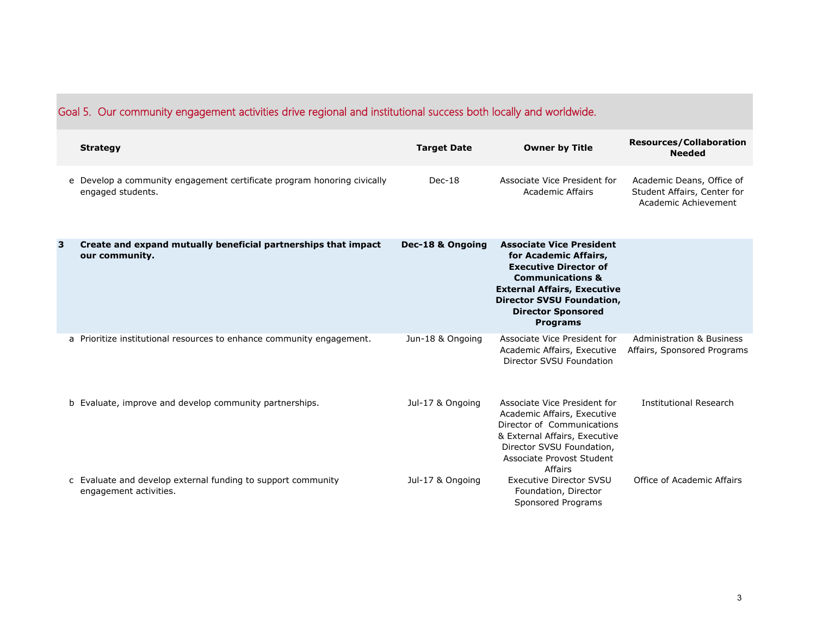|   | <b>Strategy</b>                                                                              | <b>Target Date</b> | <b>Owner by Title</b>                                                                                                                                                                                                                             | <b>Resources/Collaboration</b><br><b>Needed</b>                                  |
|---|----------------------------------------------------------------------------------------------|--------------------|---------------------------------------------------------------------------------------------------------------------------------------------------------------------------------------------------------------------------------------------------|----------------------------------------------------------------------------------|
|   | e Develop a community engagement certificate program honoring civically<br>engaged students. | $Dec-18$           | Associate Vice President for<br><b>Academic Affairs</b>                                                                                                                                                                                           | Academic Deans, Office of<br>Student Affairs, Center for<br>Academic Achievement |
| 3 | Create and expand mutually beneficial partnerships that impact<br>our community.             | Dec-18 & Ongoing   | <b>Associate Vice President</b><br>for Academic Affairs,<br><b>Executive Director of</b><br><b>Communications &amp;</b><br><b>External Affairs, Executive</b><br><b>Director SVSU Foundation,</b><br><b>Director Sponsored</b><br><b>Programs</b> |                                                                                  |
|   | a Prioritize institutional resources to enhance community engagement.                        | Jun-18 & Ongoing   | Associate Vice President for<br>Academic Affairs, Executive<br>Director SVSU Foundation                                                                                                                                                           | <b>Administration &amp; Business</b><br>Affairs, Sponsored Programs              |
|   | b Evaluate, improve and develop community partnerships.                                      | Jul-17 & Ongoing   | Associate Vice President for<br>Academic Affairs, Executive<br>Director of Communications<br>& External Affairs, Executive<br>Director SVSU Foundation,<br>Associate Provost Student<br>Affairs                                                   | <b>Institutional Research</b>                                                    |
|   | c Evaluate and develop external funding to support community<br>engagement activities.       | Jul-17 & Ongoing   | <b>Executive Director SVSU</b><br>Foundation, Director<br>Sponsored Programs                                                                                                                                                                      | Office of Academic Affairs                                                       |

## Goal 5. Our community engagement activities drive regional and institutional success both locally and worldwide.